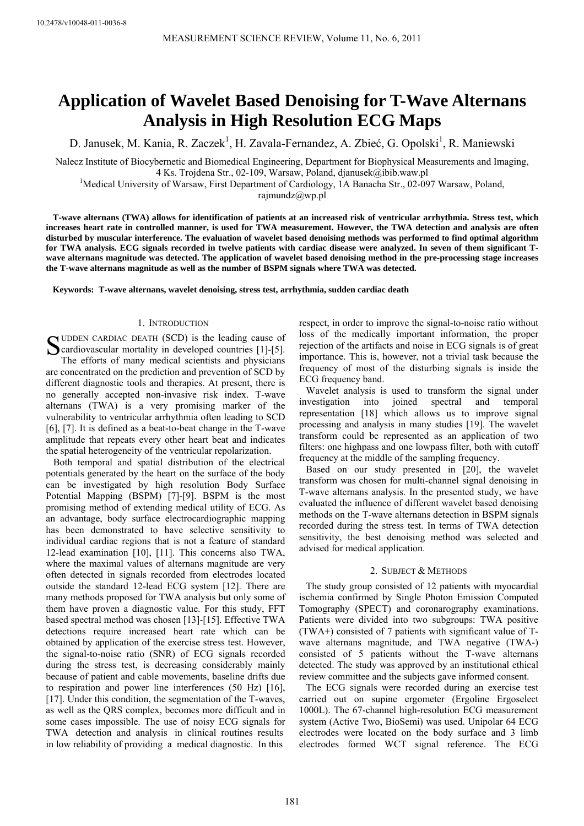# **Application of Wavelet Based Denoising for T-Wave Alternans Analysis in High Resolution ECG Maps**

D. Janusek, M. Kania, R. Zaczek<sup>1</sup>, H. Zavala-Fernandez, A. Zbieć, G. Opolski<sup>1</sup>, R. Maniewski

Nalecz Institute of Biocybernetic and Biomedical Engineering, Department for Biophysical Measurements and Imaging, 4 Ks. Trojdena Str., 02-109, Warsaw, Poland, djanusek@ibib.waw.pl 1

<sup>1</sup>Medical University of Warsaw, First Department of Cardiology, 1A Banacha Str., 02-097 Warsaw, Poland,

rajmundz@wp.pl

**T-wave alternans (TWA) allows for identification of patients at an increased risk of ventricular arrhythmia. Stress test, which increases heart rate in controlled manner, is used for TWA measurement. However, the TWA detection and analysis are often disturbed by muscular interference. The evaluation of wavelet based denoising methods was performed to find optimal algorithm for TWA analysis. ECG signals recorded in twelve patients with cardiac disease were analyzed. In seven of them significant Twave alternans magnitude was detected. The application of wavelet based denoising method in the pre-processing stage increases the T-wave alternans magnitude as well as the number of BSPM signals where TWA was detected.** 

**Keywords: T-wave alternans, wavelet denoising, stress test, arrhythmia, sudden cardiac death** 

# 1. INTRODUCTION

SUDDEN CARDIAC DEATH (SCD) is the leading cause of<br>
Scardiovascular mortality in developed countries [1]-[5].<br>
The effects of mony modical scientists and physicians Cardiovascular mortality in developed countries [1]-[5]. The efforts of many medical scientists and physicians are concentrated on the prediction and prevention of SCD by different diagnostic tools and therapies. At present, there is no generally accepted non-invasive risk index. T-wave alternans (TWA) is a very promising marker of the vulnerability to ventricular arrhythmia often leading to SCD [6], [7]. It is defined as a beat-to-beat change in the T-wave amplitude that repeats every other heart beat and indicates the spatial heterogeneity of the ventricular repolarization.

 Both temporal and spatial distribution of the electrical potentials generated by the heart on the surface of the body can be investigated by high resolution Body Surface Potential Mapping (BSPM) [7]-[9]. BSPM is the most promising method of extending medical utility of ECG. As an advantage, body surface electrocardiographic mapping has been demonstrated to have selective sensitivity to individual cardiac regions that is not a feature of standard 12-lead examination [10], [11]. This concerns also TWA, where the maximal values of alternans magnitude are very often detected in signals recorded from electrodes located outside the standard 12-lead ECG system [12]. There are many methods proposed for TWA analysis but only some of them have proven a diagnostic value. For this study, FFT based spectral method was chosen [13]-[15]. Effective TWA detections require increased heart rate which can be obtained by application of the exercise stress test. However, the signal-to-noise ratio (SNR) of ECG signals recorded during the stress test, is decreasing considerably mainly because of patient and cable movements, baseline drifts due to respiration and power line interferences (50 Hz) [16], [17]. Under this condition, the segmentation of the T-waves, as well as the QRS complex, becomes more difficult and in some cases impossible. The use of noisy ECG signals for TWA detection and analysis in clinical routines results in low reliability of providing a medical diagnostic. In this

respect, in order to improve the signal-to-noise ratio without loss of the medically important information, the proper rejection of the artifacts and noise in ECG signals is of great importance. This is, however, not a trivial task because the frequency of most of the disturbing signals is inside the ECG frequency band.

Wavelet analysis is used to transform the signal under investigation into joined spectral and temporal representation [18] which allows us to improve signal processing and analysis in many studies [19]. The wavelet transform could be represented as an application of two filters: one highpass and one lowpass filter, both with cutoff frequency at the middle of the sampling frequency.

Based on our study presented in [20], the wavelet transform was chosen for multi-channel signal denoising in T-wave alternans analysis. In the presented study, we have evaluated the influence of different wavelet based denoising methods on the T-wave alternans detection in BSPM signals recorded during the stress test. In terms of TWA detection sensitivity, the best denoising method was selected and advised for medical application.

#### 2. SUBJECT & METHODS

The study group consisted of 12 patients with myocardial ischemia confirmed by Single Photon Emission Computed Tomography (SPECT) and coronarography examinations. Patients were divided into two subgroups: TWA positive (TWA+) consisted of 7 patients with significant value of Twave alternans magnitude, and TWA negative (TWA-) consisted of 5 patients without the T-wave alternans detected. The study was approved by an institutional ethical review committee and the subjects gave informed consent.

The ECG signals were recorded during an exercise test carried out on supine ergometer (Ergoline Ergoselect 1000L). The 67-channel high-resolution ECG measurement system (Active Two, BioSemi) was used. Unipolar 64 ECG electrodes were located on the body surface and 3 limb electrodes formed WCT signal reference. The ECG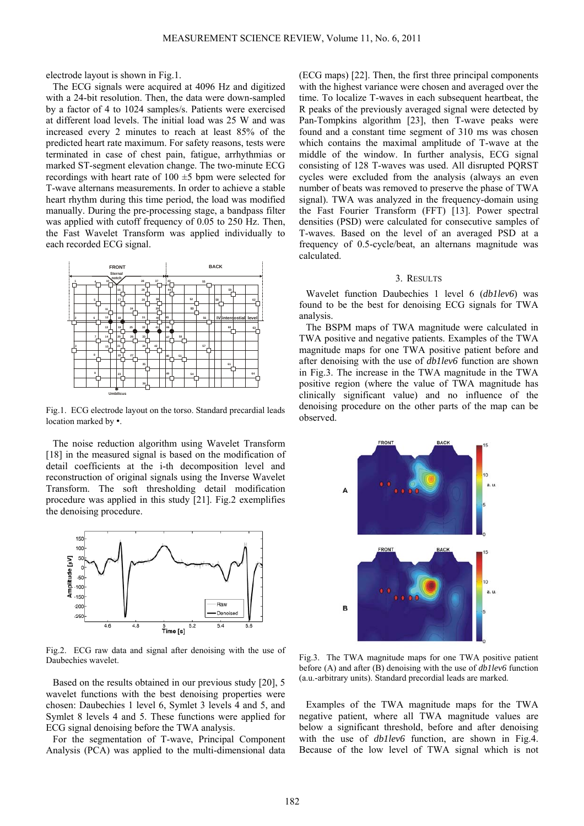electrode layout is shown in Fig.1.

The ECG signals were acquired at 4096 Hz and digitized with a 24-bit resolution. Then, the data were down-sampled by a factor of 4 to 1024 samples/s. Patients were exercised at different load levels. The initial load was 25 W and was increased every 2 minutes to reach at least 85% of the predicted heart rate maximum. For safety reasons, tests were terminated in case of chest pain, fatigue, arrhythmias or marked ST-segment elevation change. The two-minute ECG recordings with heart rate of  $100 \pm 5$  bpm were selected for T-wave alternans measurements. In order to achieve a stable heart rhythm during this time period, the load was modified manually. During the pre-processing stage, a bandpass filter was applied with cutoff frequency of 0.05 to 250 Hz. Then, the Fast Wavelet Transform was applied individually to each recorded ECG signal.



Fig.1. ECG electrode layout on the torso. Standard precardial leads location marked by •.

The noise reduction algorithm using Wavelet Transform [18] in the measured signal is based on the modification of detail coefficients at the i-th decomposition level and reconstruction of original signals using the Inverse Wavelet Transform. The soft thresholding detail modification procedure was applied in this study [21]. Fig.2 exemplifies the denoising procedure.



Fig.2. ECG raw data and signal after denoising with the use of Daubechies wavelet.

Based on the results obtained in our previous study [20], 5 wavelet functions with the best denoising properties were chosen: Daubechies 1 level 6, Symlet 3 levels 4 and 5, and Symlet 8 levels 4 and 5. These functions were applied for ECG signal denoising before the TWA analysis.

For the segmentation of T-wave, Principal Component Analysis (PCA) was applied to the multi-dimensional data (ECG maps) [22]. Then, the first three principal components with the highest variance were chosen and averaged over the time. To localize T-waves in each subsequent heartbeat, the R peaks of the previously averaged signal were detected by Pan-Tompkins algorithm [23], then T-wave peaks were found and a constant time segment of 310 ms was chosen which contains the maximal amplitude of T-wave at the middle of the window. In further analysis, ECG signal consisting of 128 T-waves was used. All disrupted PQRST cycles were excluded from the analysis (always an even number of beats was removed to preserve the phase of TWA signal). TWA was analyzed in the frequency-domain using the Fast Fourier Transform (FFT) [13]. Power spectral densities (PSD) were calculated for consecutive samples of T-waves. Based on the level of an averaged PSD at a frequency of 0.5-cycle/beat, an alternans magnitude was calculated.

### 3. RESULTS

Wavelet function Daubechies 1 level 6 (*db1lev6*) was found to be the best for denoising ECG signals for TWA analysis.

The BSPM maps of TWA magnitude were calculated in TWA positive and negative patients. Examples of the TWA magnitude maps for one TWA positive patient before and after denoising with the use of *db1lev6* function are shown in Fig.3. The increase in the TWA magnitude in the TWA positive region (where the value of TWA magnitude has clinically significant value) and no influence of the denoising procedure on the other parts of the map can be observed.



Fig.3. The TWA magnitude maps for one TWA positive patient before (A) and after (B) denoising with the use of *db1lev6* function (a.u.-arbitrary units). Standard precordial leads are marked.

Examples of the TWA magnitude maps for the TWA negative patient, where all TWA magnitude values are below a significant threshold, before and after denoising with the use of *db1lev6* function, are shown in Fig.4. Because of the low level of TWA signal which is not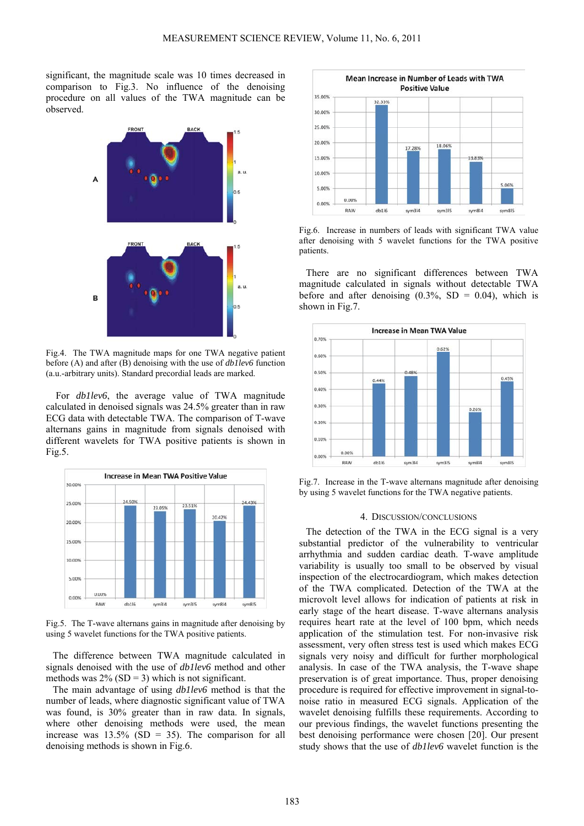significant, the magnitude scale was 10 times decreased in comparison to Fig.3. No influence of the denoising procedure on all values of the TWA magnitude can be observed.



Fig.4. The TWA magnitude maps for one TWA negative patient before (A) and after (B) denoising with the use of *db1lev6* function (a.u.-arbitrary units). Standard precordial leads are marked.

For *db1lev6*, the average value of TWA magnitude calculated in denoised signals was 24.5% greater than in raw ECG data with detectable TWA. The comparison of T-wave alternans gains in magnitude from signals denoised with different wavelets for TWA positive patients is shown in Fig.5.



Fig.5. The T-wave alternans gains in magnitude after denoising by using 5 wavelet functions for the TWA positive patients.

The difference between TWA magnitude calculated in signals denoised with the use of *db1lev6* method and other methods was  $2\%$  (SD = 3) which is not significant.

The main advantage of using *db1lev6* method is that the number of leads, where diagnostic significant value of TWA was found, is 30% greater than in raw data. In signals, where other denoising methods were used, the mean increase was  $13.5\%$  (SD = 35). The comparison for all denoising methods is shown in Fig.6.



Fig.6. Increase in numbers of leads with significant TWA value after denoising with 5 wavelet functions for the TWA positive patients.

There are no significant differences between TWA magnitude calculated in signals without detectable TWA before and after denoising  $(0.3\%, SD = 0.04)$ , which is shown in Fig.7.



Fig.7. Increase in the T-wave alternans magnitude after denoising by using 5 wavelet functions for the TWA negative patients.

## 4. DISCUSSION/CONCLUSIONS

The detection of the TWA in the ECG signal is a very substantial predictor of the vulnerability to ventricular arrhythmia and sudden cardiac death. T-wave amplitude variability is usually too small to be observed by visual inspection of the electrocardiogram, which makes detection of the TWA complicated. Detection of the TWA at the microvolt level allows for indication of patients at risk in early stage of the heart disease. T-wave alternans analysis requires heart rate at the level of 100 bpm, which needs application of the stimulation test. For non-invasive risk assessment, very often stress test is used which makes ECG signals very noisy and difficult for further morphological analysis. In case of the TWA analysis, the T-wave shape preservation is of great importance. Thus, proper denoising procedure is required for effective improvement in signal-tonoise ratio in measured ECG signals. Application of the wavelet denoising fulfills these requirements. According to our previous findings, the wavelet functions presenting the best denoising performance were chosen [20]. Our present study shows that the use of *db1lev6* wavelet function is the